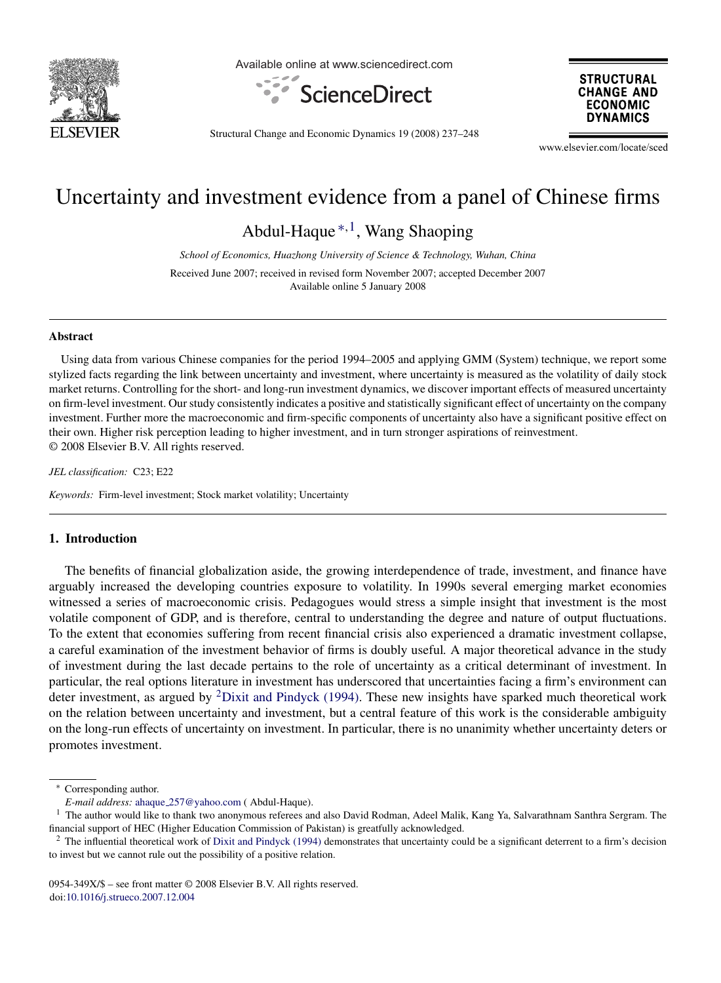

Available online at www.sciencedirect.com



**STRUCTURAL CHANGE AND ECONOMIC DYNAMICS** 

Structural Change and Economic Dynamics 19 (2008) 237–248

www.elsevier.com/locate/sced

## Uncertainty and investment evidence from a panel of Chinese firms

Abdul-Haque <sup>∗</sup>,1, Wang Shaoping

*School of Economics, Huazhong University of Science & Technology, Wuhan, China* Received June 2007; received in revised form November 2007; accepted December 2007 Available online 5 January 2008

## **Abstract**

Using data from various Chinese companies for the period 1994–2005 and applying GMM (System) technique, we report some stylized facts regarding the link between uncertainty and investment, where uncertainty is measured as the volatility of daily stock market returns. Controlling for the short- and long-run investment dynamics, we discover important effects of measured uncertainty on firm-level investment. Our study consistently indicates a positive and statistically significant effect of uncertainty on the company investment. Further more the macroeconomic and firm-specific components of uncertainty also have a significant positive effect on their own. Higher risk perception leading to higher investment, and in turn stronger aspirations of reinvestment. © 2008 Elsevier B.V. All rights reserved.

*JEL classification:* C23; E22

*Keywords:* Firm-level investment; Stock market volatility; Uncertainty

## **1. Introduction**

The benefits of financial globalization aside, the growing interdependence of trade, investment, and finance have arguably increased the developing countries exposure to volatility. In 1990s several emerging market economies witnessed a series of macroeconomic crisis. Pedagogues would stress a simple insight that investment is the most volatile component of GDP, and is therefore, central to understanding the degree and nature of output fluctuations. To the extent that economies suffering from recent financial crisis also experienced a dramatic investment collapse, a careful examination of the investment behavior of firms is doubly useful*.* A major theoretical advance in the study of investment during the last decade pertains to the role of uncertainty as a critical determinant of investment. In particular, the real options literature in investment has underscored that uncertainties facing a firm's environment can deter investment, as argued by 2[Dixit and Pindyck \(1994\).](#page--1-0) These new insights have sparked much theoretical work on the relation between uncertainty and investment, but a central feature of this work is the considerable ambiguity on the long-run effects of uncertainty on investment. In particular, there is no unanimity whether uncertainty deters or promotes investment.

<sup>∗</sup> Corresponding author.

*E-mail address:* ahaque [257@yahoo.com](mailto:ahaque_257@yahoo.com) ( Abdul-Haque).

 $1$  The author would like to thank two anonymous referees and also David Rodman, Adeel Malik, Kang Ya, Salvarathnam Santhra Sergram. The financial support of HEC (Higher Education Commission of Pakistan) is greatfully acknowledged.

 $2$  The influential theoretical work of [Dixit and Pindyck \(1994\)](#page--1-0) demonstrates that uncertainty could be a significant deterrent to a firm's decision to invest but we cannot rule out the possibility of a positive relation.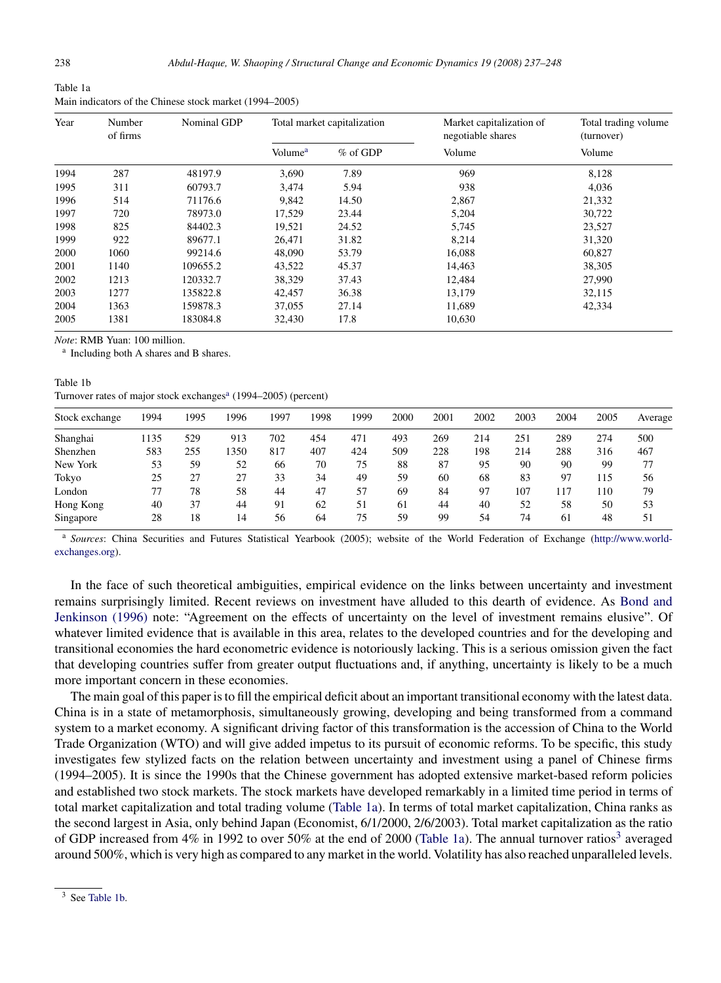| Table 1a                                                |  |
|---------------------------------------------------------|--|
| Main indicators of the Chinese stock market (1994–2005) |  |

| Year | Number<br>of firms | Nominal GDP |                     | Total market capitalization | Market capitalization of<br>negotiable shares | Total trading volume<br>(turnover) |  |  |
|------|--------------------|-------------|---------------------|-----------------------------|-----------------------------------------------|------------------------------------|--|--|
|      |                    |             | Volume <sup>a</sup> | $%$ of GDP                  | Volume                                        | Volume                             |  |  |
| 1994 | 287                | 48197.9     | 3,690               | 7.89                        | 969                                           | 8,128                              |  |  |
| 1995 | 311                | 60793.7     | 3,474               | 5.94                        | 938                                           | 4,036                              |  |  |
| 1996 | 514                | 71176.6     | 9.842               | 14.50                       | 2,867                                         | 21,332                             |  |  |
| 1997 | 720                | 78973.0     | 17,529              | 23.44                       | 5,204                                         | 30,722                             |  |  |
| 1998 | 825                | 84402.3     | 19,521              | 24.52                       | 5,745                                         | 23,527                             |  |  |
| 1999 | 922                | 89677.1     | 26,471              | 31.82                       | 8,214                                         | 31,320                             |  |  |
| 2000 | 1060               | 99214.6     | 48,090              | 53.79                       | 16,088                                        | 60,827                             |  |  |
| 2001 | 1140               | 109655.2    | 43,522              | 45.37                       | 14,463                                        | 38,305                             |  |  |
| 2002 | 1213               | 120332.7    | 38,329              | 37.43                       | 12,484                                        | 27,990                             |  |  |
| 2003 | 1277               | 135822.8    | 42.457              | 36.38                       | 13,179                                        | 32,115                             |  |  |
| 2004 | 1363               | 159878.3    | 37,055              | 27.14                       | 11,689                                        | 42,334                             |  |  |
| 2005 | 1381               | 183084.8    | 32,430              | 17.8                        | 10,630                                        |                                    |  |  |

*Note*: RMB Yuan: 100 million.

<sup>a</sup> Including both A shares and B shares.

| Table 1b |                                                                            |
|----------|----------------------------------------------------------------------------|
|          | Turnover rates of major stock exchanges <sup>a</sup> (1994–2005) (percent) |

| Stock exchange | 1994 | 1995 | 1996 | 1997 | 1998 | 1999 | 2000 | 2001 | 2002 | 2003 | 2004 | 2005 | Average |
|----------------|------|------|------|------|------|------|------|------|------|------|------|------|---------|
| Shanghai       | 1135 | 529  | 913  | 702  | 454  | 471  | 493  | 269  | 214  | 251  | 289  | 274  | 500     |
| Shenzhen       | 583  | 255  | 1350 | 817  | 407  | 424  | 509  | 228  | 198  | 214  | 288  | 316  | 467     |
| New York       | 53   | 59   | 52   | 66   | 70   | 75   | 88   | 87   | 95   | 90   | 90   | 99   | 77      |
| Tokyo          | 25   | 27   | 27   | 33   | 34   | 49   | 59   | 60   | 68   | 83   | 97   | 115  | 56      |
| London         | 77   | 78   | 58   | 44   | 47   | 57   | 69   | 84   | 97   | 107  | 117  | 110  | 79      |
| Hong Kong      | 40   | 37   | 44   | 91   | 62   | 51   | 61   | 44   | 40   | 52   | 58   | 50   | 53      |
| Singapore      | 28   | 18   | 14   | 56   | 64   | 75   | 59   | 99   | 54   | 74   | 61   | 48   | 51      |
|                |      |      |      |      |      |      |      |      |      |      |      |      |         |

<sup>a</sup> *Sources*: China Securities and Futures Statistical Yearbook (2005); website of the World Federation of Exchange ([http://www.world](http://www.world-exchanges.org/)exchanges.org).

In the face of such theoretical ambiguities, empirical evidence on the links between uncertainty and investment remains surprisingly limited. Recent reviews on investment have alluded to this dearth of evidence. As [Bond and](#page--1-0) [Jenkinson \(1996\)](#page--1-0) note: "Agreement on the effects of uncertainty on the level of investment remains elusive". Of whatever limited evidence that is available in this area, relates to the developed countries and for the developing and transitional economies the hard econometric evidence is notoriously lacking. This is a serious omission given the fact that developing countries suffer from greater output fluctuations and, if anything, uncertainty is likely to be a much more important concern in these economies.

The main goal of this paper is to fill the empirical deficit about an important transitional economy with the latest data. China is in a state of metamorphosis, simultaneously growing, developing and being transformed from a command system to a market economy. A significant driving factor of this transformation is the accession of China to the World Trade Organization (WTO) and will give added impetus to its pursuit of economic reforms. To be specific, this study investigates few stylized facts on the relation between uncertainty and investment using a panel of Chinese firms (1994–2005). It is since the 1990s that the Chinese government has adopted extensive market-based reform policies and established two stock markets. The stock markets have developed remarkably in a limited time period in terms of total market capitalization and total trading volume (Table 1a). In terms of total market capitalization, China ranks as the second largest in Asia, only behind Japan (Economist, 6/1/2000, 2/6/2003). Total market capitalization as the ratio of GDP increased from  $4\%$  in 1992 to over 50% at the end of 2000 (Table 1a). The annual turnover ratios<sup>3</sup> averaged around 500%, which is very high as compared to any market in the world. Volatility has also reached unparalleled levels.

<sup>3</sup> See Table 1b.